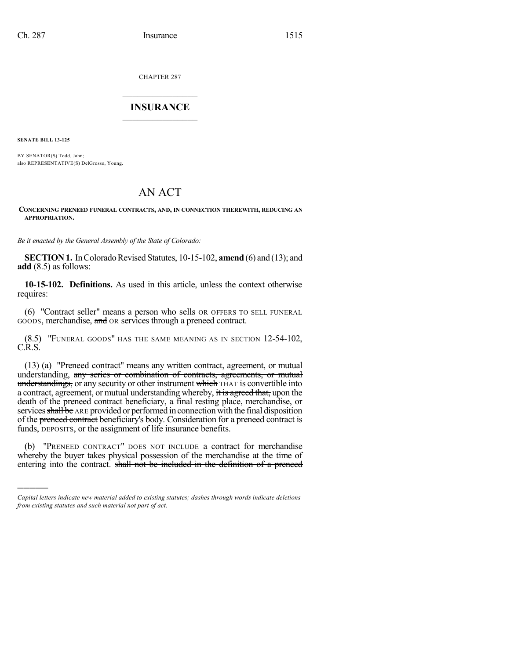CHAPTER 287

## $\mathcal{L}_\text{max}$  . The set of the set of the set of the set of the set of the set of the set of the set of the set of the set of the set of the set of the set of the set of the set of the set of the set of the set of the set **INSURANCE**  $\frac{1}{2}$  ,  $\frac{1}{2}$  ,  $\frac{1}{2}$  ,  $\frac{1}{2}$  ,  $\frac{1}{2}$  ,  $\frac{1}{2}$  ,  $\frac{1}{2}$

**SENATE BILL 13-125**

)))))

BY SENATOR(S) Todd, Jahn; also REPRESENTATIVE(S) DelGrosso, Young.

# AN ACT

#### **CONCERNING PRENEED FUNERAL CONTRACTS, AND, IN CONNECTION THEREWITH, REDUCING AN APPROPRIATION.**

*Be it enacted by the General Assembly of the State of Colorado:*

**SECTION 1.** In Colorado Revised Statutes, 10-15-102, **amend** (6) and (13); and **add** (8.5) as follows:

**10-15-102. Definitions.** As used in this article, unless the context otherwise requires:

(6) "Contract seller" means a person who sells OR OFFERS TO SELL FUNERAL GOODS, merchandise, and OR services through a preneed contract.

(8.5) "FUNERAL GOODS" HAS THE SAME MEANING AS IN SECTION 12-54-102, C.R.S.

(13) (a) "Preneed contract" means any written contract, agreement, or mutual understanding, any series or combination of contracts, agreements, or mutual understandings, or any security or other instrument which THAT is convertible into a contract, agreement, or mutual understanding whereby, it is agreed that, upon the death of the preneed contract beneficiary, a final resting place, merchandise, or services shall be ARE provided or performed in connection with the final disposition of the preneed contract beneficiary's body. Consideration for a preneed contract is funds, DEPOSITS, or the assignment of life insurance benefits.

(b) "PRENEED CONTRACT" DOES NOT INCLUDE a contract for merchandise whereby the buyer takes physical possession of the merchandise at the time of entering into the contract. shall not be included in the definition of a preneed

*Capital letters indicate new material added to existing statutes; dashes through words indicate deletions from existing statutes and such material not part of act.*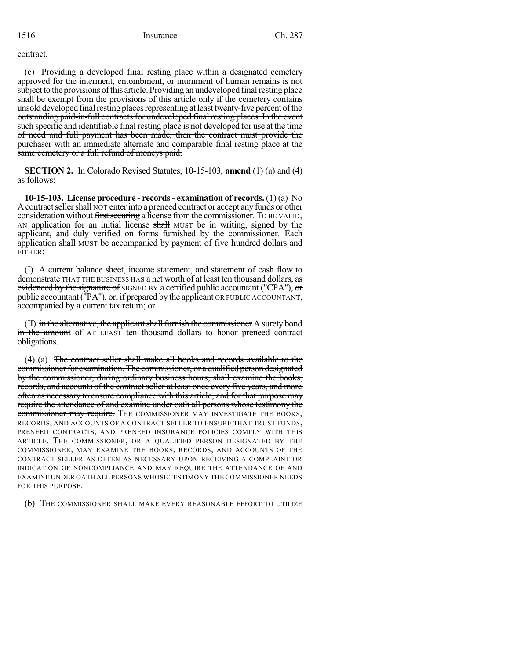#### contract.

(c) Providing a developed final resting place within a designated cemetery approved for the interment, entombment, or inurnment of human remains is not subject to the provisions of this article. Providing an undeveloped final resting place shall be exempt from the provisions of this article only if the cemetery contains unsold developed final resting places representing at least twenty-five percent of the outstanding paid-in-full contracts for undeveloped final resting places. In the event such specific and identifiable final resting place is not developed for use at the time of need and full payment has been made, then the contract must provide the purchaser with an immediate alternate and comparable final resting place at the same cemetery or a full refund of moneys paid.

**SECTION 2.** In Colorado Revised Statutes, 10-15-103, **amend** (1) (a) and (4) as follows:

**10-15-103. License procedure - records- examination of records.** (1) (a) No A contract seller shall NOT enter into a preneed contract or accept any funds or other consideration without first securing a license from the commissioner. To BE VALID, AN application for an initial license shall MUST be in writing, signed by the applicant, and duly verified on forms furnished by the commissioner. Each application shall MUST be accompanied by payment of five hundred dollars and EITHER:

(I) A current balance sheet, income statement, and statement of cash flow to demonstrate THAT THE BUSINESS HAS a net worth of at least ten thousand dollars, as evidenced by the signature of SIGNED BY a certified public accountant ("CPA"), or  $p$ ublic accountant ( $\overline{P}A''$ ), or, if prepared by the applicant OR PUBLIC ACCOUNTANT, accompanied by a current tax return; or

 $(II)$  in the alternative, the applicant shall furnish the commissioner A surety bond in the amount of AT LEAST ten thousand dollars to honor preneed contract obligations.

(4) (a) The contract seller shall make all books and records available to the commissioner for examination. The commissioner, or a qualified person designated by the commissioner, during ordinary business hours, shall examine the books, records, and accounts of the contract seller at least once every five years, and more often as necessary to ensure compliance with this article, and for that purpose may require the attendance of and examine under oath all persons whose testimony the commissioner may require. THE COMMISSIONER MAY INVESTIGATE THE BOOKS, RECORDS, AND ACCOUNTS OF A CONTRACT SELLER TO ENSURE THAT TRUST FUNDS, PRENEED CONTRACTS, AND PRENEED INSURANCE POLICIES COMPLY WITH THIS ARTICLE. THE COMMISSIONER, OR A QUALIFIED PERSON DESIGNATED BY THE COMMISSIONER, MAY EXAMINE THE BOOKS, RECORDS, AND ACCOUNTS OF THE CONTRACT SELLER AS OFTEN AS NECESSARY UPON RECEIVING A COMPLAINT OR INDICATION OF NONCOMPLIANCE AND MAY REQUIRE THE ATTENDANCE OF AND EXAMINE UNDER OATH ALL PERSONS WHOSE TESTIMONY THE COMMISSIONER NEEDS FOR THIS PURPOSE.

(b) THE COMMISSIONER SHALL MAKE EVERY REASONABLE EFFORT TO UTILIZE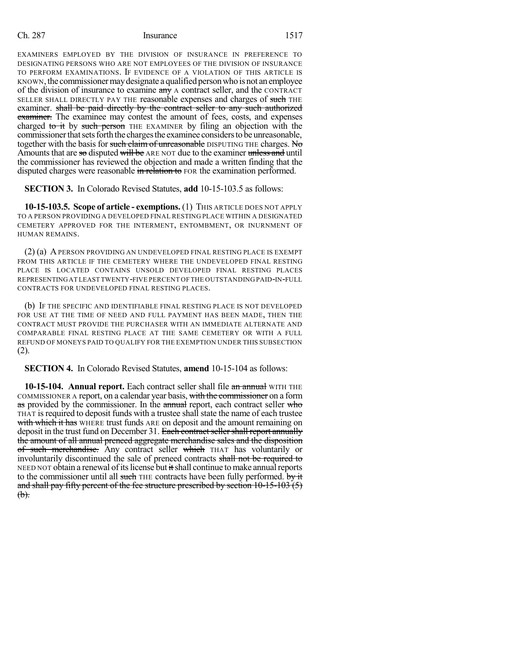### Ch. 287 Insurance 1517

EXAMINERS EMPLOYED BY THE DIVISION OF INSURANCE IN PREFERENCE TO DESIGNATING PERSONS WHO ARE NOT EMPLOYEES OF THE DIVISION OF INSURANCE TO PERFORM EXAMINATIONS. IF EVIDENCE OF A VIOLATION OF THIS ARTICLE IS KNOWN, the commissioner may designate a qualified person who is not an employee of the division of insurance to examine any A contract seller, and the CONTRACT SELLER SHALL DIRECTLY PAY THE reasonable expenses and charges of such THE examiner. shall be paid directly by the contract seller to any such authorized examiner. The examinee may contest the amount of fees, costs, and expenses charged to it by such person THE EXAMINER by filing an objection with the commissioner that sets forth the charges the examinee considers to be unreasonable, together with the basis for such claim of unreasonable DISPUTING THE charges. No Amounts that are so disputed will be ARE NOT due to the examiner unless and until the commissioner has reviewed the objection and made a written finding that the disputed charges were reasonable in relation to FOR the examination performed.

**SECTION 3.** In Colorado Revised Statutes, **add** 10-15-103.5 as follows:

**10-15-103.5. Scope of article - exemptions.** (1) THIS ARTICLE DOES NOT APPLY TO A PERSON PROVIDING A DEVELOPED FINAL RESTING PLACE WITHIN A DESIGNATED CEMETERY APPROVED FOR THE INTERMENT, ENTOMBMENT, OR INURNMENT OF HUMAN REMAINS.

(2) (a) APERSON PROVIDING AN UNDEVELOPED FINAL RESTING PLACE IS EXEMPT FROM THIS ARTICLE IF THE CEMETERY WHERE THE UNDEVELOPED FINAL RESTING PLACE IS LOCATED CONTAINS UNSOLD DEVELOPED FINAL RESTING PLACES REPRESENTINGAT LEAST TWENTY-FIVE PERCENT OF THE OUTSTANDING PAID-IN-FULL CONTRACTS FOR UNDEVELOPED FINAL RESTING PLACES.

(b) IF THE SPECIFIC AND IDENTIFIABLE FINAL RESTING PLACE IS NOT DEVELOPED FOR USE AT THE TIME OF NEED AND FULL PAYMENT HAS BEEN MADE, THEN THE CONTRACT MUST PROVIDE THE PURCHASER WITH AN IMMEDIATE ALTERNATE AND COMPARABLE FINAL RESTING PLACE AT THE SAME CEMETERY OR WITH A FULL REFUND OF MONEYS PAID TO QUALIFY FOR THE EXEMPTION UNDER THIS SUBSECTION (2).

**SECTION 4.** In Colorado Revised Statutes, **amend** 10-15-104 as follows:

**10-15-104. Annual report.** Each contract seller shall file an annual WITH THE COMMISSIONER A report, on a calendar year basis, with the commissioner on a form as provided by the commissioner. In the annual report, each contract seller who THAT isrequired to deposit funds with a trustee shall state the name of each trustee with which it has WHERE trust funds ARE on deposit and the amount remaining on deposit in the trust fund on December 31. Each contract seller shall report annually the amount of all annual preneed aggregate merchandise sales and the disposition of such merchandise. Any contract seller which THAT has voluntarily or involuntarily discontinued the sale of preneed contracts shall not be required to NEED NOT obtain a renewal of its license but it shall continue to make annual reports to the commissioner until all such THE contracts have been fully performed. by it and shall pay fifty percent of the fee structure prescribed by section 10-15-103 (5)  $(b).$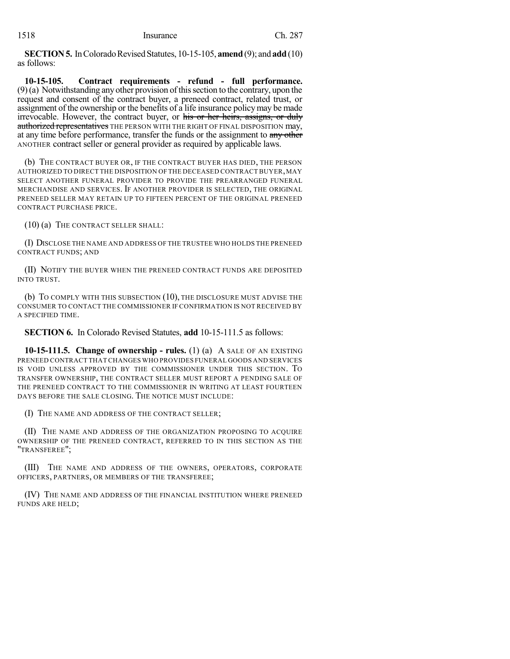**SECTION 5.** In Colorado Revised Statutes, 10-15-105, **amend** (9); and **add** (10) as follows:

**10-15-105. Contract requirements - refund - full performance.**  $(9)$ (a) Notwithstanding any other provision of this section to the contrary, upon the request and consent of the contract buyer, a preneed contract, related trust, or assignment of the ownership or the benefits of a life insurance policymay be made irrevocable. However, the contract buyer, or his or her heirs, assigns, or duly authorized representatives THE PERSON WITH THE RIGHT OF FINAL DISPOSITION may, at any time before performance, transfer the funds or the assignment to any other ANOTHER contract seller or general provider as required by applicable laws.

(b) THE CONTRACT BUYER OR, IF THE CONTRACT BUYER HAS DIED, THE PERSON AUTHORIZED TO DIRECT THE DISPOSITION OF THE DECEASED CONTRACT BUYER,MAY SELECT ANOTHER FUNERAL PROVIDER TO PROVIDE THE PREARRANGED FUNERAL MERCHANDISE AND SERVICES. IF ANOTHER PROVIDER IS SELECTED, THE ORIGINAL PRENEED SELLER MAY RETAIN UP TO FIFTEEN PERCENT OF THE ORIGINAL PRENEED CONTRACT PURCHASE PRICE.

(10) (a) THE CONTRACT SELLER SHALL:

(I) DISCLOSE THE NAME AND ADDRESS OF THE TRUSTEE WHO HOLDS THE PRENEED CONTRACT FUNDS; AND

(II) NOTIFY THE BUYER WHEN THE PRENEED CONTRACT FUNDS ARE DEPOSITED INTO TRUST.

(b) TO COMPLY WITH THIS SUBSECTION (10), THE DISCLOSURE MUST ADVISE THE CONSUMER TO CONTACT THE COMMISSIONER IF CONFIRMATION IS NOT RECEIVED BY A SPECIFIED TIME.

**SECTION 6.** In Colorado Revised Statutes, **add** 10-15-111.5 as follows:

**10-15-111.5. Change of ownership - rules.** (1) (a) A SALE OF AN EXISTING PRENEED CONTRACT THAT CHANGES WHO PROVIDES FUNERAL GOODS AND SERVICES IS VOID UNLESS APPROVED BY THE COMMISSIONER UNDER THIS SECTION. TO TRANSFER OWNERSHIP, THE CONTRACT SELLER MUST REPORT A PENDING SALE OF THE PRENEED CONTRACT TO THE COMMISSIONER IN WRITING AT LEAST FOURTEEN DAYS BEFORE THE SALE CLOSING. THE NOTICE MUST INCLUDE:

(I) THE NAME AND ADDRESS OF THE CONTRACT SELLER;

(II) THE NAME AND ADDRESS OF THE ORGANIZATION PROPOSING TO ACQUIRE OWNERSHIP OF THE PRENEED CONTRACT, REFERRED TO IN THIS SECTION AS THE "TRANSFEREE";

(III) THE NAME AND ADDRESS OF THE OWNERS, OPERATORS, CORPORATE OFFICERS, PARTNERS, OR MEMBERS OF THE TRANSFEREE;

(IV) THE NAME AND ADDRESS OF THE FINANCIAL INSTITUTION WHERE PRENEED FUNDS ARE HELD;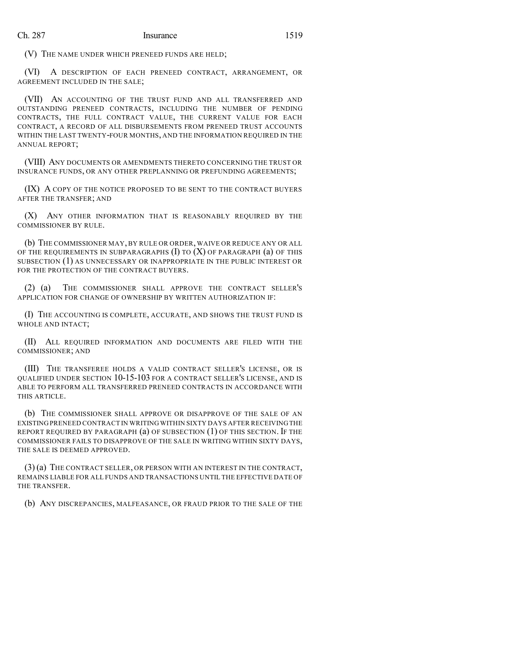(V) THE NAME UNDER WHICH PRENEED FUNDS ARE HELD;

(VI) A DESCRIPTION OF EACH PRENEED CONTRACT, ARRANGEMENT, OR AGREEMENT INCLUDED IN THE SALE;

(VII) AN ACCOUNTING OF THE TRUST FUND AND ALL TRANSFERRED AND OUTSTANDING PRENEED CONTRACTS, INCLUDING THE NUMBER OF PENDING CONTRACTS, THE FULL CONTRACT VALUE, THE CURRENT VALUE FOR EACH CONTRACT, A RECORD OF ALL DISBURSEMENTS FROM PRENEED TRUST ACCOUNTS WITHIN THE LAST TWENTY-FOUR MONTHS, AND THE INFORMATION REQUIRED IN THE ANNUAL REPORT;

(VIII) ANY DOCUMENTS OR AMENDMENTS THERETO CONCERNING THE TRUST OR INSURANCE FUNDS, OR ANY OTHER PREPLANNING OR PREFUNDING AGREEMENTS;

(IX) A COPY OF THE NOTICE PROPOSED TO BE SENT TO THE CONTRACT BUYERS AFTER THE TRANSFER; AND

(X) ANY OTHER INFORMATION THAT IS REASONABLY REQUIRED BY THE COMMISSIONER BY RULE.

(b) THE COMMISSIONER MAY, BY RULE OR ORDER, WAIVE OR REDUCE ANY OR ALL OF THE REQUIREMENTS IN SUBPARAGRAPHS  $(I)$  to  $(X)$  of paragraph  $(a)$  of this SUBSECTION (1) AS UNNECESSARY OR INAPPROPRIATE IN THE PUBLIC INTEREST OR FOR THE PROTECTION OF THE CONTRACT BUYERS.

(2) (a) THE COMMISSIONER SHALL APPROVE THE CONTRACT SELLER'S APPLICATION FOR CHANGE OF OWNERSHIP BY WRITTEN AUTHORIZATION IF:

(I) THE ACCOUNTING IS COMPLETE, ACCURATE, AND SHOWS THE TRUST FUND IS WHOLE AND INTACT;

(II) ALL REQUIRED INFORMATION AND DOCUMENTS ARE FILED WITH THE COMMISSIONER; AND

(III) THE TRANSFEREE HOLDS A VALID CONTRACT SELLER'S LICENSE, OR IS QUALIFIED UNDER SECTION 10-15-103 FOR A CONTRACT SELLER'S LICENSE, AND IS ABLE TO PERFORM ALL TRANSFERRED PRENEED CONTRACTS IN ACCORDANCE WITH THIS ARTICLE.

(b) THE COMMISSIONER SHALL APPROVE OR DISAPPROVE OF THE SALE OF AN EXISTING PRENEED CONTRACT IN WRITING WITHIN SIXTY DAYS AFTER RECEIVINGTHE REPORT REQUIRED BY PARAGRAPH (a) OF SUBSECTION (1) OF THIS SECTION. IF THE COMMISSIONER FAILS TO DISAPPROVE OF THE SALE IN WRITING WITHIN SIXTY DAYS, THE SALE IS DEEMED APPROVED.

(3) (a) THE CONTRACT SELLER, OR PERSON WITH AN INTEREST IN THE CONTRACT, REMAINS LIABLE FOR ALL FUNDS AND TRANSACTIONS UNTIL THE EFFECTIVE DATE OF THE TRANSFER.

(b) ANY DISCREPANCIES, MALFEASANCE, OR FRAUD PRIOR TO THE SALE OF THE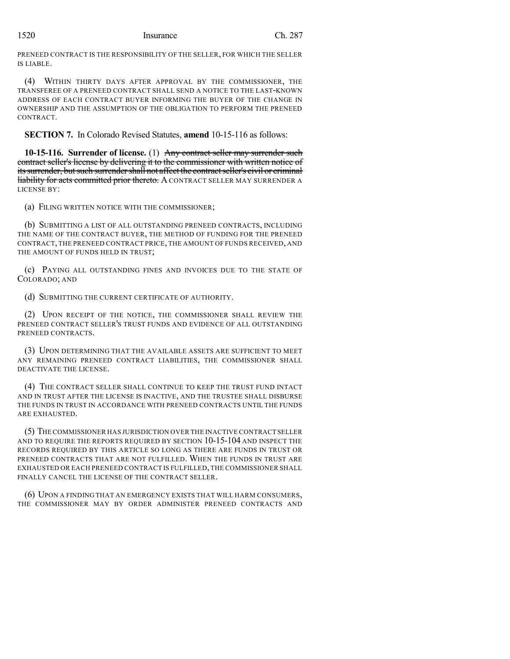## 1520 Insurance Ch. 287

PRENEED CONTRACT IS THE RESPONSIBILITY OF THE SELLER, FOR WHICH THE SELLER IS LIABLE.

(4) WITHIN THIRTY DAYS AFTER APPROVAL BY THE COMMISSIONER, THE TRANSFEREE OF A PRENEED CONTRACT SHALL SEND A NOTICE TO THE LAST-KNOWN ADDRESS OF EACH CONTRACT BUYER INFORMING THE BUYER OF THE CHANGE IN OWNERSHIP AND THE ASSUMPTION OF THE OBLIGATION TO PERFORM THE PRENEED CONTRACT.

**SECTION 7.** In Colorado Revised Statutes, **amend** 10-15-116 as follows:

**10-15-116. Surrender of license.** (1) Any contract seller may surrender such contract seller's license by delivering it to the commissioner with written notice of its surrender, but such surrender shall not affect the contract seller's civil or criminal **liability for acts committed prior thereto.** A CONTRACT SELLER MAY SURRENDER A LICENSE BY:

(a) FILING WRITTEN NOTICE WITH THE COMMISSIONER;

(b) SUBMITTING A LIST OF ALL OUTSTANDING PRENEED CONTRACTS, INCLUDING THE NAME OF THE CONTRACT BUYER, THE METHOD OF FUNDING FOR THE PRENEED CONTRACT, THE PRENEED CONTRACT PRICE, THE AMOUNT OF FUNDS RECEIVED, AND THE AMOUNT OF FUNDS HELD IN TRUST;

(c) PAYING ALL OUTSTANDING FINES AND INVOICES DUE TO THE STATE OF COLORADO; AND

(d) SUBMITTING THE CURRENT CERTIFICATE OF AUTHORITY.

(2) UPON RECEIPT OF THE NOTICE, THE COMMISSIONER SHALL REVIEW THE PRENEED CONTRACT SELLER'S TRUST FUNDS AND EVIDENCE OF ALL OUTSTANDING PRENEED CONTRACTS.

(3) UPON DETERMINING THAT THE AVAILABLE ASSETS ARE SUFFICIENT TO MEET ANY REMAINING PRENEED CONTRACT LIABILITIES, THE COMMISSIONER SHALL DEACTIVATE THE LICENSE.

(4) THE CONTRACT SELLER SHALL CONTINUE TO KEEP THE TRUST FUND INTACT AND IN TRUST AFTER THE LICENSE IS INACTIVE, AND THE TRUSTEE SHALL DISBURSE THE FUNDS IN TRUST IN ACCORDANCE WITH PRENEED CONTRACTS UNTIL THE FUNDS ARE EXHAUSTED.

(5) THE COMMISSIONER HAS JURISDICTION OVER THE INACTIVE CONTRACT SELLER AND TO REQUIRE THE REPORTS REQUIRED BY SECTION 10-15-104 AND INSPECT THE RECORDS REQUIRED BY THIS ARTICLE SO LONG AS THERE ARE FUNDS IN TRUST OR PRENEED CONTRACTS THAT ARE NOT FULFILLED. WHEN THE FUNDS IN TRUST ARE EXHAUSTED OR EACH PRENEED CONTRACT IS FULFILLED, THE COMMISSIONER SHALL FINALLY CANCEL THE LICENSE OF THE CONTRACT SELLER.

(6) UPON A FINDING THAT AN EMERGENCY EXISTS THAT WILL HARM CONSUMERS, THE COMMISSIONER MAY BY ORDER ADMINISTER PRENEED CONTRACTS AND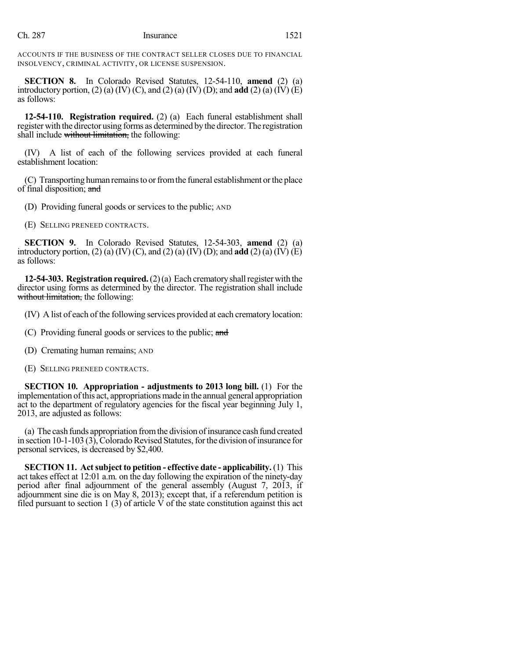ACCOUNTS IF THE BUSINESS OF THE CONTRACT SELLER CLOSES DUE TO FINANCIAL INSOLVENCY, CRIMINAL ACTIVITY, OR LICENSE SUSPENSION.

**SECTION 8.** In Colorado Revised Statutes, 12-54-110, **amend** (2) (a) introductory portion,  $(2)$  (a)  $(IV)$  (C), and  $(2)$  (a)  $(IV)$  (D); and **add**  $(2)$  (a)  $(IV)$  (E) as follows:

**12-54-110. Registration required.** (2) (a) Each funeral establishment shall register with the director using forms as determined bythe director.The registration shall include without limitation, the following:

(IV) A list of each of the following services provided at each funeral establishment location:

(C) Transporting human remainsto orfromthe funeral establishment orthe place of final disposition; and

(D) Providing funeral goods or services to the public; AND

(E) SELLING PRENEED CONTRACTS.

**SECTION 9.** In Colorado Revised Statutes, 12-54-303, **amend** (2) (a) introductory portion, (2) (a) (IV) (C), and (2) (a) (IV) (D); and **add** (2) (a) (IV) (E) as follows:

**12-54-303. Registration required.**  $(2)(a)$  Each crematory shall register with the director using forms as determined by the director. The registration shall include without limitation, the following:

(IV) A list of each of the following services provided at each crematory location:

- (C) Providing funeral goods or services to the public; and
- (D) Cremating human remains; AND
- (E) SELLING PRENEED CONTRACTS.

**SECTION 10. Appropriation - adjustments to 2013 long bill.** (1) For the implementation ofthis act, appropriations made in the annual general appropriation act to the department of regulatory agencies for the fiscal year beginning July 1, 2013, are adjusted as follows:

(a) The cash funds appropriation fromthe division ofinsurance cash fund created in section  $10-1-103$  (3), Colorado Revised Statutes, for the division of insurance for personal services, is decreased by \$2,400.

**SECTION 11. Actsubject to petition - effective date - applicability.** (1) This act takes effect at 12:01 a.m. on the day following the expiration of the ninety-day period after final adjournment of the general assembly (August 7, 2013, if adjournment sine die is on May 8, 2013); except that, if a referendum petition is filed pursuant to section 1 (3) of article  $\dot{V}$  of the state constitution against this act